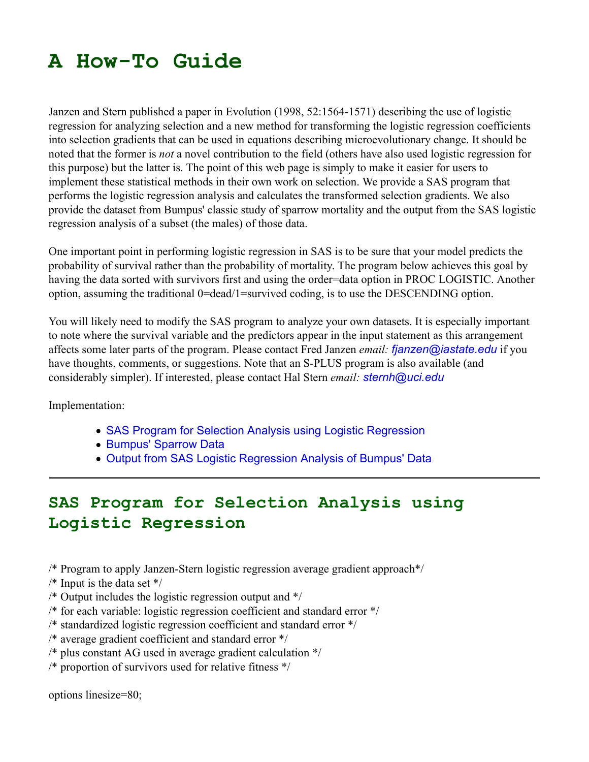## **A How-To Guide**

Janzen and Stern published a paper in Evolution (1998, 52:1564-1571) describing the use of logistic regression for analyzing selection and a new method for transforming the logistic regression coefficients into selection gradients that can be used in equations describing microevolutionary change. It should be noted that the former is *not* a novel contribution to the field (others have also used logistic regression for this purpose) but the latter is. The point of this web page is simply to make it easier for users to implement these statistical methods in their own work on selection. We provide a SAS program that performs the logistic regression analysis and calculates the transformed selection gradients. We also provide the dataset from Bumpus' classic study of sparrow mortality and the output from the SAS logistic regression analysis of a subset (the males) of those data.

One important point in performing logistic regression in SAS is to be sure that your model predicts the probability of survival rather than the probability of mortality. The program below achieves this goal by having the data sorted with survivors first and using the order=data option in PROC LOGISTIC. Another option, assuming the traditional 0=dead/1=survived coding, is to use the DESCENDING option.

You will likely need to modify the SAS program to analyze your own datasets. It is especially important to note where the survival variable and the predictors appear in the input statement as this arrangement affects some later parts of the program. Please contact Fred Janzen *email: fjanzen@iastate.edu* if you have thoughts, comments, or suggestions. Note that an S-PLUS program is also available (and considerably simpler). If interested, please contact Hal Stern *email: sternh@uci.edu*

Implementation:

- SAS Program for Selection Analysis using Logistic Regression
- Bumpus' Sparrow Data
- Output from SAS Logistic Regression Analysis of Bumpus' Data

## **SAS Program for Selection Analysis using Logistic Regression**

- /\* Program to apply Janzen-Stern logistic regression average gradient approach\*/
- $/*$  Input is the data set  $*/$
- /\* Output includes the logistic regression output and \*/
- /\* for each variable: logistic regression coefficient and standard error \*/
- /\* standardized logistic regression coefficient and standard error \*/
- /\* average gradient coefficient and standard error \*/
- /\* plus constant AG used in average gradient calculation \*/
- /\* proportion of survivors used for relative fitness \*/

options linesize=80;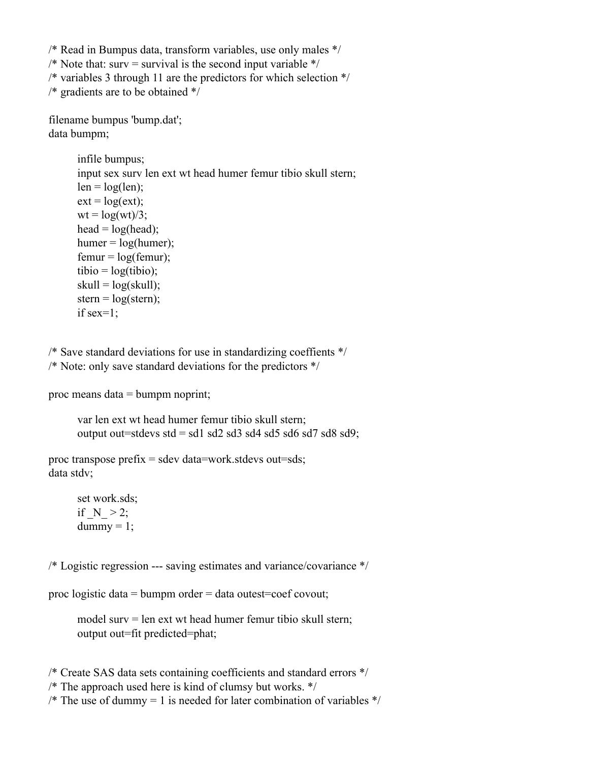/\* Read in Bumpus data, transform variables, use only males \*/

/\* Note that: surv = survival is the second input variable  $*/$ 

/\* variables 3 through 11 are the predictors for which selection \*/

/\* gradients are to be obtained \*/

filename bumpus 'bump.dat'; data bumpm;

> infile bumpus; input sex surv len ext wt head humer femur tibio skull stern;  $len = log(len);$  $ext = log(ext);$  $wt = log(wt)/3;$ head  $=$  log(head);  $humer = log(humer);$  $femur = log(femur);$ tibio =  $log(tibio)$ ;  $skull = log(skull);$ stern =  $log($ stern $);$ if sex=1;

/\* Save standard deviations for use in standardizing coeffients \*/ /\* Note: only save standard deviations for the predictors \*/

proc means data = bumpm noprint;

var len ext wt head humer femur tibio skull stern; output out=stdevs std = sd1 sd2 sd3 sd4 sd5 sd6 sd7 sd8 sd9;

proc transpose prefix  $=$  sdev data=work.stdevs out=sds; data stdv;

> set work.sds; if  $N > 2$ ;  $d$ ummy = 1;

/\* Logistic regression --- saving estimates and variance/covariance \*/

proc logistic data = bumpm order = data outest=coef covout;

model surv = len ext wt head humer femur tibio skull stern; output out=fit predicted=phat;

/\* Create SAS data sets containing coefficients and standard errors \*/

/\* The approach used here is kind of clumsy but works. \*/

/\* The use of dummy = 1 is needed for later combination of variables  $\frac{*}{ }$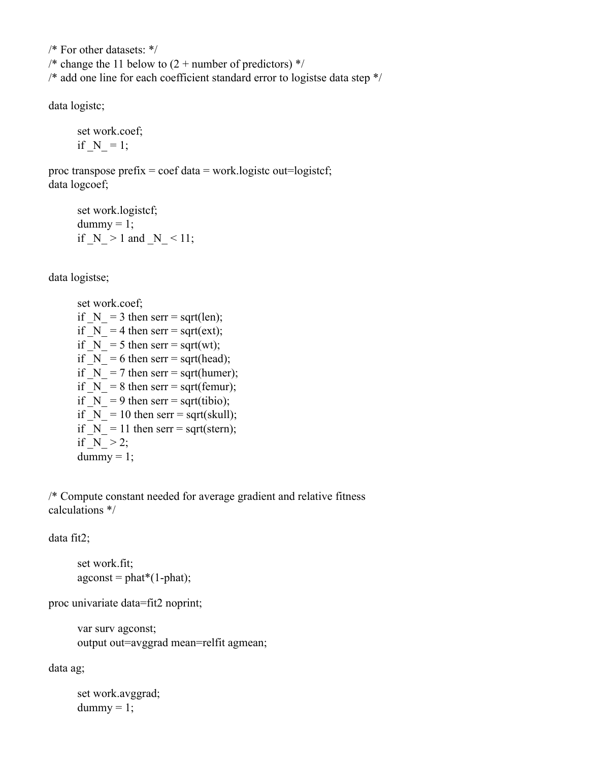/\* For other datasets: \*/ /\* change the 11 below to  $(2 +$  number of predictors)  $*/$ /\* add one line for each coefficient standard error to logistse data step \*/

data logistc;

set work.coef; if  $N = 1$ ;

proc transpose prefix = coef data = work.logistc out=logistcf; data logcoef;

set work.logistcf;  $d$ ummy = 1; if  $N > 1$  and  $N < 11$ ;

data logistse;

set work.coef; if  $N = 3$  then serr = sqrt(len); if  $N = 4$  then serr = sqrt(ext); if  $N = 5$  then serr = sqrt(wt); if  $N = 6$  then serr = sqrt(head); if  $N = 7$  then serr = sqrt(humer); if  $N = 8$  then serr = sqrt(femur); if  $N = 9$  then serr = sqrt(tibio); if  $N = 10$  then serr = sqrt(skull); if  $N = 11$  then serr = sqrt(stern); if  $N > 2$ ;  $d$ ummy = 1;

/\* Compute constant needed for average gradient and relative fitness calculations \*/

data fit2;

set work.fit;  $a$ gconst = phat\*(1-phat);

proc univariate data=fit2 noprint;

var surv agconst; output out=avggrad mean=relfit agmean;

data ag;

set work.avggrad;  $d$ ummy = 1;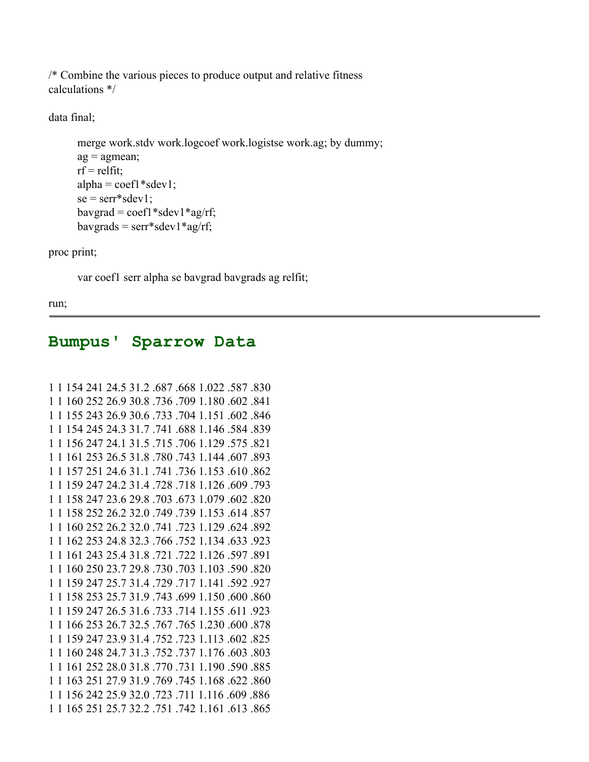/\* Combine the various pieces to produce output and relative fitness calculations \*/

data final;

```
merge work.stdv work.logcoef work.logistse work.ag; by dummy;
a\mathbf{g} = agmean;
rf =relfit;
alpha = coef1 * sdev1;se = \text{serv*}sdev1;
bavgrad = coeff1 * sdev1 * ag/rf;bavgrads = serr*sdev1*ag/rf;
```
proc print;

var coef1 serr alpha se bavgrad bavgrads ag relfit;

run;

## **Bumpus' Sparrow Data**

```
1 1 154 241 24.5 31.2 .687 .668 1.022 .587 .830
1 1 160 252 26.9 30.8 .736 .709 1.180 .602 .841
1 1 155 243 26.9 30.6 .733 .704 1.151 .602 .846
1 1 154 245 24.3 31.7 .741 .688 1.146 .584 .839
1 1 156 247 24.1 31.5 .715 .706 1.129 .575 .821
1 1 161 253 26.5 31.8 .780 .743 1.144 .607 .893
1 1 157 251 24.6 31.1 .741 .736 1.153 .610 .862
1 1 159 247 24.2 31.4 .728 .718 1.126 .609 .793
1 1 158 247 23.6 29.8 .703 .673 1.079 .602 .820
1 1 158 252 26.2 32.0 .749 .739 1.153 .614 .857
1 1 160 252 26.2 32.0 .741 .723 1.129 .624 .892
1 1 162 253 24.8 32.3 .766 .752 1.134 .633 .923
1 1 161 243 25.4 31.8 .721 .722 1.126 .597 .891
1 1 160 250 23.7 29.8 .730 .703 1.103 .590 .820
1 1 159 247 25.7 31.4 .729 .717 1.141 .592 .927
1 1 158 253 25.7 31.9 .743 .699 1.150 .600 .860
1 1 159 247 26.5 31.6 .733 .714 1.155 .611 .923
1 1 166 253 26.7 32.5 .767 .765 1.230 .600 .878
1 1 159 247 23.9 31.4 .752 .723 1.113 .602 .825
1 1 160 248 24.7 31.3 .752 .737 1.176 .603 .803
1 1 161 252 28.0 31.8 .770 .731 1.190 .590 .885
1 1 163 251 27.9 31.9 .769 .745 1.168 .622 .860
1 1 156 242 25.9 32.0 .723 .711 1.116 .609 .886
1 1 165 251 25.7 32.2 .751 .742 1.161 .613 .865
```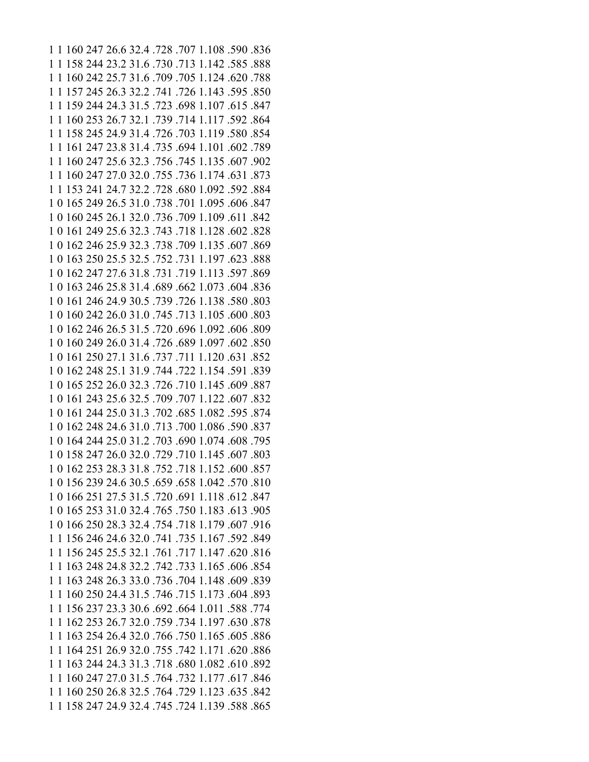1 1 160 247 26.6 32.4 .728 .707 1.108 .590 .836 1 1 158 244 23.2 31.6 .730 .713 1.142 .585 .888 1 1 160 242 25.7 31.6 .709 .705 1.124 .620 .788 1 1 157 245 26.3 32.2 .741 .726 1.143 .595 .850 1 1 159 244 24.3 31.5 .723 .698 1.107 .615 .847 1 1 160 253 26.7 32.1 .739 .714 1.117 .592 .864 1 1 158 245 24.9 31.4 .726 .703 1.119 .580 .854 1 1 161 247 23.8 31.4 .735 .694 1.101 .602 .789 1 1 160 247 25.6 32.3 .756 .745 1.135 .607 .902 1 1 160 247 27.0 32.0 .755 .736 1.174 .631 .873 1 1 153 241 24.7 32.2 .728 .680 1.092 .592 .884 1 0 165 249 26.5 31.0 .738 .701 1.095 .606 .847 1 0 160 245 26.1 32.0 .736 .709 1.109 .611 .842 1 0 161 249 25.6 32.3 .743 .718 1.128 .602 .828 1 0 162 246 25.9 32.3 .738 .709 1.135 .607 .869 1 0 163 250 25.5 32.5 .752 .731 1.197 .623 .888 1 0 162 247 27.6 31.8 .731 .719 1.113 .597 .869 1 0 163 246 25.8 31.4 .689 .662 1.073 .604 .836 1 0 161 246 24.9 30.5 .739 .726 1.138 .580 .803 1 0 160 242 26.0 31.0 .745 .713 1.105 .600 .803 1 0 162 246 26.5 31.5 .720 .696 1.092 .606 .809 1 0 160 249 26.0 31.4 .726 .689 1.097 .602 .850 1 0 161 250 27.1 31.6 .737 .711 1.120 .631 .852 1 0 162 248 25.1 31.9 .744 .722 1.154 .591 .839 1 0 165 252 26.0 32.3 .726 .710 1.145 .609 .887 1 0 161 243 25.6 32.5 .709 .707 1.122 .607 .832 1 0 161 244 25.0 31.3 .702 .685 1.082 .595 .874 1 0 162 248 24.6 31.0 .713 .700 1.086 .590 .837 1 0 164 244 25.0 31.2 .703 .690 1.074 .608 .795 1 0 158 247 26.0 32.0 .729 .710 1.145 .607 .803 1 0 162 253 28.3 31.8 .752 .718 1.152 .600 .857 1 0 156 239 24.6 30.5 .659 .658 1.042 .570 .810 1 0 166 251 27.5 31.5 .720 .691 1.118 .612 .847 1 0 165 253 31.0 32.4 .765 .750 1.183 .613 .905 1 0 166 250 28.3 32.4 .754 .718 1.179 .607 .916 1 1 156 246 24.6 32.0 .741 .735 1.167 .592 .849 1 1 156 245 25.5 32.1 .761 .717 1.147 .620 .816 1 1 163 248 24.8 32.2 .742 .733 1.165 .606 .854 1 1 163 248 26.3 33.0 .736 .704 1.148 .609 .839 1 1 160 250 24.4 31.5 .746 .715 1.173 .604 .893 1 1 156 237 23.3 30.6 .692 .664 1.011 .588 .774 1 1 162 253 26.7 32.0 .759 .734 1.197 .630 .878 1 1 163 254 26.4 32.0 .766 .750 1.165 .605 .886 1 1 164 251 26.9 32.0 .755 .742 1.171 .620 .886 1 1 163 244 24.3 31.3 .718 .680 1.082 .610 .892 1 1 160 247 27.0 31.5 .764 .732 1.177 .617 .846 1 1 160 250 26.8 32.5 .764 .729 1.123 .635 .842 1 1 158 247 24.9 32.4 .745 .724 1.139 .588 .865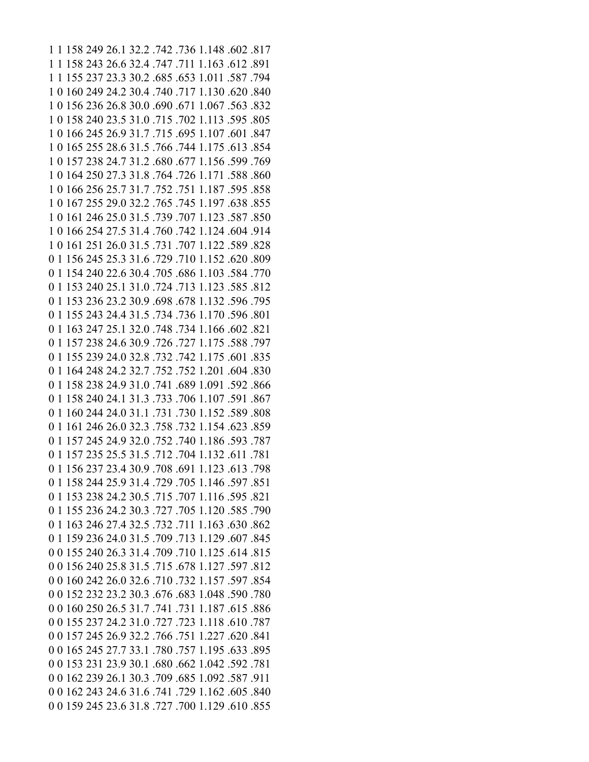1 1 158 249 26.1 32.2 .742 .736 1.148 .602 .817 1 1 158 243 26.6 32.4 .747 .711 1.163 .612 .891 1 1 155 237 23.3 30.2 .685 .653 1.011 .587 .794 1 0 160 249 24.2 30.4 .740 .717 1.130 .620 .840 1 0 156 236 26.8 30.0 .690 .671 1.067 .563 .832 1 0 158 240 23.5 31.0 .715 .702 1.113 .595 .805 1 0 166 245 26.9 31.7 .715 .695 1.107 .601 .847 1 0 165 255 28.6 31.5 .766 .744 1.175 .613 .854 1 0 157 238 24.7 31.2 .680 .677 1.156 .599 .769 1 0 164 250 27.3 31.8 .764 .726 1.171 .588 .860 1 0 166 256 25.7 31.7 .752 .751 1.187 .595 .858 1 0 167 255 29.0 32.2 .765 .745 1.197 .638 .855 1 0 161 246 25.0 31.5 .739 .707 1.123 .587 .850 1 0 166 254 27.5 31.4 .760 .742 1.124 .604 .914 1 0 161 251 26.0 31.5 .731 .707 1.122 .589 .828 0 1 156 245 25.3 31.6 .729 .710 1.152 .620 .809 0 1 154 240 22.6 30.4 .705 .686 1.103 .584 .770 0 1 153 240 25.1 31.0 .724 .713 1.123 .585 .812 0 1 153 236 23.2 30.9 .698 .678 1.132 .596 .795 0 1 155 243 24.4 31.5 .734 .736 1.170 .596 .801 0 1 163 247 25.1 32.0 .748 .734 1.166 .602 .821 0 1 157 238 24.6 30.9 .726 .727 1.175 .588 .797 0 1 155 239 24.0 32.8 .732 .742 1.175 .601 .835 0 1 164 248 24.2 32.7 .752 .752 1.201 .604 .830 0 1 158 238 24.9 31.0 .741 .689 1.091 .592 .866 0 1 158 240 24.1 31.3 .733 .706 1.107 .591 .867 0 1 160 244 24.0 31.1 .731 .730 1.152 .589 .808 0 1 161 246 26.0 32.3 .758 .732 1.154 .623 .859 0 1 157 245 24.9 32.0 .752 .740 1.186 .593 .787 0 1 157 235 25.5 31.5 .712 .704 1.132 .611 .781 0 1 156 237 23.4 30.9 .708 .691 1.123 .613 .798 0 1 158 244 25.9 31.4 .729 .705 1.146 .597 .851 0 1 153 238 24.2 30.5 .715 .707 1.116 .595 .821 0 1 155 236 24.2 30.3 .727 .705 1.120 .585 .790 0 1 163 246 27.4 32.5 .732 .711 1.163 .630 .862 0 1 159 236 24.0 31.5 .709 .713 1.129 .607 .845 0 0 155 240 26.3 31.4 .709 .710 1.125 .614 .815 0 0 156 240 25.8 31.5 .715 .678 1.127 .597 .812 0 0 160 242 26.0 32.6 .710 .732 1.157 .597 .854 0 0 152 232 23.2 30.3 .676 .683 1.048 .590 .780 0 0 160 250 26.5 31.7 .741 .731 1.187 .615 .886 0 0 155 237 24.2 31.0 .727 .723 1.118 .610 .787 0 0 157 245 26.9 32.2 .766 .751 1.227 .620 .841 0 0 165 245 27.7 33.1 .780 .757 1.195 .633 .895 0 0 153 231 23.9 30.1 .680 .662 1.042 .592 .781 0 0 162 239 26.1 30.3 .709 .685 1.092 .587 .911 0 0 162 243 24.6 31.6 .741 .729 1.162 .605 .840 0 0 159 245 23.6 31.8 .727 .700 1.129 .610 .855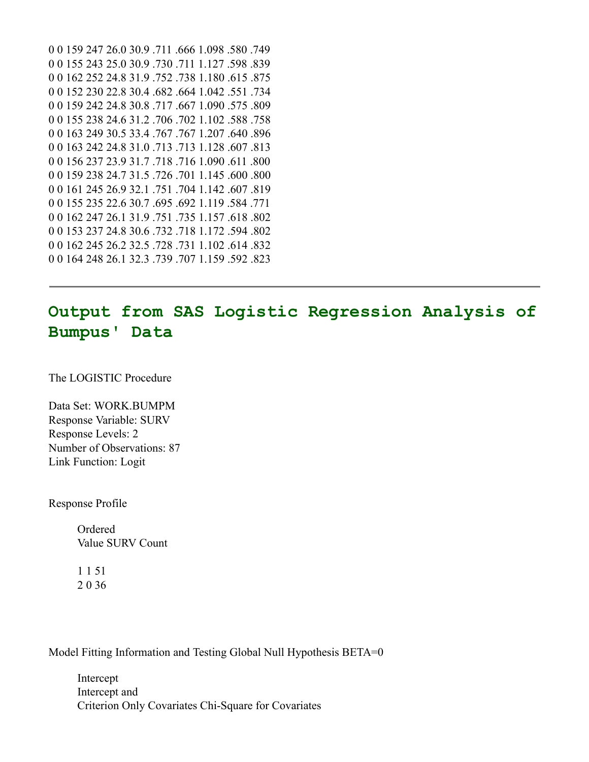```
0 0 159 247 26.0 30.9 .711 .666 1.098 .580 .749
0 0 155 243 25.0 30.9 .730 .711 1.127 .598 .839
0 0 162 252 24.8 31.9 .752 .738 1.180 .615 .875
0 0 152 230 22.8 30.4 .682 .664 1.042 .551 .734
0 0 159 242 24.8 30.8 .717 .667 1.090 .575 .809
0 0 155 238 24.6 31.2 .706 .702 1.102 .588 .758
0 0 163 249 30.5 33.4 .767 .767 1.207 .640 .896
0 0 163 242 24.8 31.0 .713 .713 1.128 .607 .813
0 0 156 237 23.9 31.7 .718 .716 1.090 .611 .800
0 0 159 238 24.7 31.5 .726 .701 1.145 .600 .800
0 0 161 245 26.9 32.1 .751 .704 1.142 .607 .819
0 0 155 235 22.6 30.7 .695 .692 1.119 .584 .771
0 0 162 247 26.1 31.9 .751 .735 1.157 .618 .802
0 0 153 237 24.8 30.6 .732 .718 1.172 .594 .802
0 0 162 245 26.2 32.5 .728 .731 1.102 .614 .832
0 0 164 248 26.1 32.3 .739 .707 1.159 .592 .823
```
## **Output from SAS Logistic Regression Analysis of Bumpus' Data**

The LOGISTIC Procedure

Data Set: WORK.BUMPM Response Variable: SURV Response Levels: 2 Number of Observations: 87 Link Function: Logit

Response Profile

Ordered Value SURV Count

1 1 51 2 0 36

Model Fitting Information and Testing Global Null Hypothesis BETA=0

Intercept Intercept and Criterion Only Covariates Chi-Square for Covariates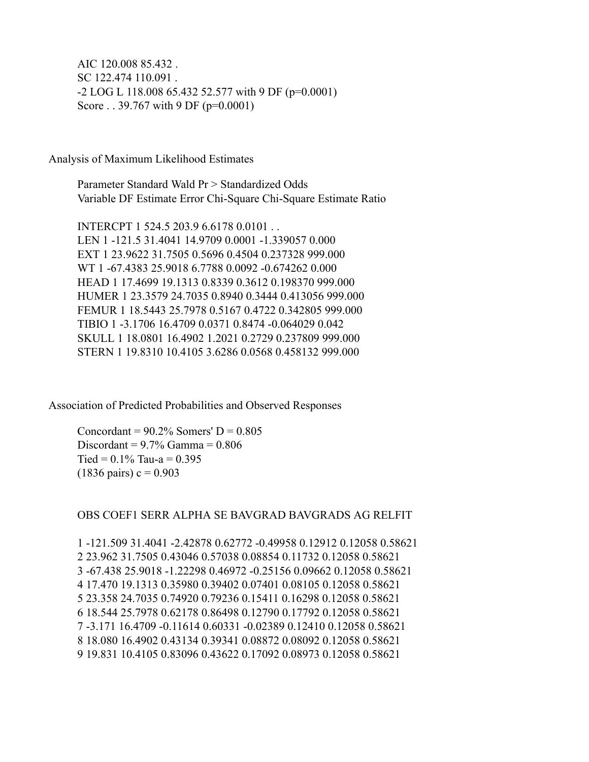AIC 120.008 85.432 . SC 122.474 110.091 . -2 LOG L 118.008 65.432 52.577 with 9 DF (p=0.0001) Score . . 39.767 with 9 DF ( $p=0.0001$ )

Analysis of Maximum Likelihood Estimates

Parameter Standard Wald Pr > Standardized Odds Variable DF Estimate Error Chi-Square Chi-Square Estimate Ratio

INTERCPT 1 524.5 203.9 6.6178 0.0101 . . LEN 1 -121.5 31.4041 14.9709 0.0001 -1.339057 0.000 EXT 1 23.9622 31.7505 0.5696 0.4504 0.237328 999.000 WT 1 -67.4383 25.9018 6.7788 0.0092 -0.674262 0.000 HEAD 1 17.4699 19.1313 0.8339 0.3612 0.198370 999.000 HUMER 1 23.3579 24.7035 0.8940 0.3444 0.413056 999.000 FEMUR 1 18.5443 25.7978 0.5167 0.4722 0.342805 999.000 TIBIO 1 -3.1706 16.4709 0.0371 0.8474 -0.064029 0.042 SKULL 1 18.0801 16.4902 1.2021 0.2729 0.237809 999.000 STERN 1 19.8310 10.4105 3.6286 0.0568 0.458132 999.000

Association of Predicted Probabilities and Observed Responses

Concordant =  $90.2\%$  Somers' D =  $0.805$ Discordant =  $9.7\%$  Gamma =  $0.806$ Tied =  $0.1\%$  Tau-a =  $0.395$  $(1836 \text{ pairs}) c = 0.903$ 

OBS COEF1 SERR ALPHA SE BAVGRAD BAVGRADS AG RELFIT

1 -121.509 31.4041 -2.42878 0.62772 -0.49958 0.12912 0.12058 0.58621 2 23.962 31.7505 0.43046 0.57038 0.08854 0.11732 0.12058 0.58621 3 -67.438 25.9018 -1.22298 0.46972 -0.25156 0.09662 0.12058 0.58621 4 17.470 19.1313 0.35980 0.39402 0.07401 0.08105 0.12058 0.58621 5 23.358 24.7035 0.74920 0.79236 0.15411 0.16298 0.12058 0.58621 6 18.544 25.7978 0.62178 0.86498 0.12790 0.17792 0.12058 0.58621 7 -3.171 16.4709 -0.11614 0.60331 -0.02389 0.12410 0.12058 0.58621 8 18.080 16.4902 0.43134 0.39341 0.08872 0.08092 0.12058 0.58621 9 19.831 10.4105 0.83096 0.43622 0.17092 0.08973 0.12058 0.58621